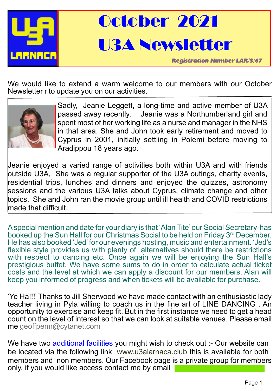

October 2021 U3A Newsletter

*Registration Number LAR/S/67*

We would like to extend a warm welcome to our members with our October Newsletter r to update you on our activities.



Sadly, Jeanie Leggett, a long-time and active member of U3A passed away recently. Jeanie was a Northumberland girl and spent most of her working life as a nurse and manager in the NHS in that area. She and John took early retirement and moved to Cyprus in 2001, initially settling in Polemi before moving to Aradippou 18 years ago.

Jeanie enjoyed a varied range of activities both within U3A and with friends outside U3A, She was a regular supporter of the U3A outings, charity events, residential trips, lunches and dinners and enjoyed the quizzes, astronomy sessions and the various U3A talks about Cyprus, climate change and other topics. She and John ran the movie group until ill health and COVID restrictions made that difficult.

A special mention and date for your diary is that 'Alan Tite' our Social Secretary has booked up the Sun Hall for our Christmas Social to be held on Friday 3rd December. He has also booked 'Jed' for our evenings hosting, music and entertainment. 'Jed's flexible style provides us with plenty of alternatives should there be restrictions with respect to dancing etc. Once again we will be enjoying the Sun Hall's prestigious buffet. We have some sums to do in order to calculate actual ticket costs and the level at which we can apply a discount for our members. Alan will keep you informed of progress and when tickets will be available for purchase.

'Ye Ha!!!' Thanks to Jill Sherwood we have made contact with an enthusiastic lady teacher living in Pyla willing to coach us in the fine art of LINE DANCING . An opportunity to exercise and keep fit. But in the first instance we need to get a head co[un](mailto:geoffpenn@cytanet.com)t on the level of interest so that we can look at suitable venues. Please email me [geoffpenn@cytanet.com](mailto:geoffpenn@cytanet.com)

We have two additional facilities you might wish to check out :- Our website can be located via the following link www.u3alarnaca.club this is available for both members and non members. Our Facebook page is a private group for members only, if you would like access contact me by email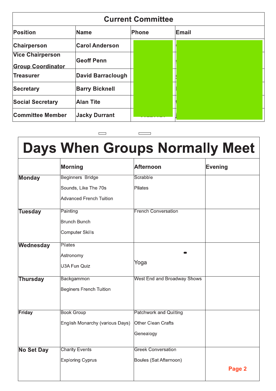| <b>Current Committee</b>                            |                          |       |       |  |  |  |
|-----------------------------------------------------|--------------------------|-------|-------|--|--|--|
| <b>Position</b>                                     | Name                     | Phone | Email |  |  |  |
| Chairperson                                         | <b>Carol Anderson</b>    |       |       |  |  |  |
| <b>Vice Chairperson</b><br><b>Group Coordinator</b> | <b>Geoff Penn</b>        |       |       |  |  |  |
| Treasurer                                           | <b>David Barraclough</b> |       |       |  |  |  |
| Secretary                                           | <b>Barry Bicknell</b>    |       |       |  |  |  |
| <b>Social Secretary</b>                             | <b>Alan Tite</b>         |       |       |  |  |  |
| <b>Committee Member</b>                             | <b>Jacky Durrant</b>     |       |       |  |  |  |

|                   | <b>Days When Groups Normally Meet</b> |                                    |                |
|-------------------|---------------------------------------|------------------------------------|----------------|
|                   | <b>Morning</b>                        | <b>Afternoon</b>                   | <b>Evening</b> |
| <b>Monday</b>     | <b>Beginners Bridge</b>               | Scrabble                           |                |
|                   | Sounds, Like The 70s                  | Pilates                            |                |
|                   | <b>Advanced French Tuition</b>        |                                    |                |
| <b>Tuesday</b>    | Painting                              | <b>French Conversation</b>         |                |
|                   | <b>Brunch Bunch</b>                   |                                    |                |
|                   | <b>Computer Skills</b>                |                                    |                |
| Wednesday         | Pilates                               |                                    |                |
|                   | Astronomy                             |                                    |                |
|                   | U3A Fun Quiz                          | Yoga                               |                |
| <b>Thursday</b>   | <b>Backgammon</b>                     | <b>West End and Broadway Shows</b> |                |
|                   | <b>Beginers French Tuition</b>        |                                    |                |
| Friday            | <b>Book Group</b>                     | <b>Patchwork and Quilting</b>      |                |
|                   | English Monarchy (various Days)       | <b>Other Clean Crafts</b>          |                |
|                   |                                       | Genealogy                          |                |
| <b>No Set Day</b> | <b>Charity Events</b>                 | <b>Greek Conversation</b>          |                |
|                   | <b>Exploring Cyprus</b>               | Boules (Sat Afternoon)             |                |
|                   |                                       |                                    | Page 2         |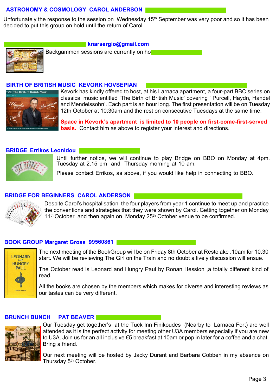# **ASTRONOMY & COSMOLOGY CAROL ANDERSON**

Unfortunately the response to the session on Wednesday 15<sup>th</sup> September was very poor and so it has been decided to put this group on hold until the return of Carol.



### **knarsergio@gmail.com**

Backgammon sessions are currently on ho

## **BIRTH OF BRITISH MUSIC KEVORK HOVSEPIAN**



Kevork has kindly offered to host, at his Larnaca apartment, a four-part BBC series on classical music entitled 'The Birth of British Music' covering ' Purcell, Haydn, Handel and Mendelssohn'. Each part is an hour long. The first presentation will be on Tuesday 12th October at 10:30am and the rest on consecutive Tuesdays at the same time.

**Space in Kevork's apartment is limited to 10 people on first-come-first-served basis.** Contact him as above to register your interest and directions.

# **BRIDGE Errikos Leonidou**



Until further notice, we will continue to play Bridge on BBO on Monday at 4pm. Tuesday at 2.15 pm and Thursday morning at 10 am.

Please contact Errikos, as above, if you would like help in connecting to BBO.

# **BRIDGE FOR BEGINNERS CAROL ANDERSON**



**Dancing** Despite Carol's hospitalisation the four players from year 1 continue to meet up and practice the conventions and strategies that they were shown by Carol. Getting together on Monday  $11<sup>th</sup>$  October and then again on Monday 25<sup>th</sup> October venue to be confirmed.

## **BOOK GROUP Margaret Gross 99560861**



The next meeting of the BookGroup will be on Friday 8th October at Restolake .10am for 10.30 start. We will be reviewing The Girl on the Train and no doubt a lively discussion will ensue.

The October read is Leonard and Hungry Paul by Ronan Hession ,a totally different kind of read.

All the books are chosen by the members which makes for diverse and interesting reviews as our tastes can be very different,

# **BRUNCH BUNCH PAT BEAVER**



Our Tuesday get together's at the Tuck Inn Finikoudes (Nearby to Larnaca Fort) are well attended as it is the perfect activity for meeting other U3A members especially if you are new to U3A. Join us for an all inclusive €5 breakfast at 10am or pop in later for a coffee and a chat. Bring a friend.

Our next meeting will be hosted by Jacky Durant and Barbara Cobben in my absence on Thursday 5<sup>th</sup> October.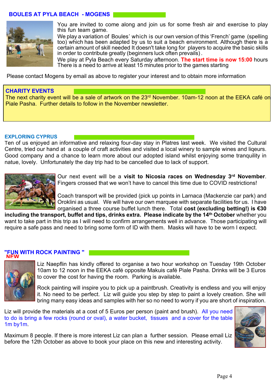# **BOULES AT PYLA BEACH - MOGENS**



You are invited to come along and join us for some fresh air and exercise to play this fun team game.

We play a variation of Boules' which is our own version of this 'French' game (spelling too) which has been adapted by us to suit a beach environment. Although there is a certain amount of skill needed It doesn't take long for players to acquire the basic skills in order to contribute greatly (beginners luck often prevails).

We play at Pyla Beach every Saturday afternoon. **The start time is now 15:00** hours There is a need to arrive at least 15 minutes prior to the games starting

Please contact Mogens by email as above to register your interest and to obtain more information

# **CHARITY EVENTS**

The next charity event will be a sale of artwork on the 23<sup>rd</sup> November. 10am-12 noon at the EEKA café on Piale Pasha. Further details to follow in the November newsletter.

#### **EXPLORING CYPRUS**

Ten of us enjoyed an informative and relaxing four-day stay in Platres last week. We visited the Cultural Centre, tried our hand at a couple of craft activities and visited a local winery to sample wines and liqeurs. Good company and a chance to learn more about our adopted island whilst enjoying some tranquility in natue, lovely. Unfortunately the day trip had to be cancelled due to lack of support.



Our next event will be a **visit to Nicosia races on Wednesday 3rd November**. Fingers crossed that we won't have to cancel this time due to COVID restrictions!

Coach transport will be provided (pick up points in Larnaca (Mackenzie car park) and Oroklini as usual. We will have our own marquee with separate facilities for us. I have organised a three course buffet lunch there. Total **cost (excluding betting!) is €30**

**including the transport, buffet and tips, drinks extra. Please indicate by the 14th October** whether you want to take part in this trip as I will need to confirm arrangements well in advance. Those participating will require a safe pass and need to bring some form of ID with them. Masks will have to be worn I expect.

#### **"FUN WITH ROCK PAINTING " NEW**



Liz Naepflin has kindly offered to organise a two hour workshop on Tuesday 19th October 10am to 12 noon in the EEKA café opposite Makuis café Piale Pasha. Drinks will be 3 Euros to cover the cost for having the room. Parking is available.

Rock painting will inspire you to pick up a paintbrush. Creativity is endless and you will enjoy it. No need to be perfect. Liz will guide you step by step to paint a lovely creation. She will bring many easy ideas and samples with her so no need to worry if you are short of inspiration.

Liz will provide the materials at a cost of 5 Euros per person (paint and brush). All you need to do is bring a few rocks (round or oval), a water bucket, tissues and a cover for the table 1m by1m.

Maximum 8 people. If there is more interest Liz can plan a further session. Please email Liz before the 12th October as above to book your place on this new and interesting activity.

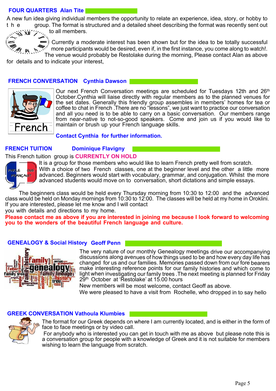# **FOUR QUARTERS Alan Tite**

A new fun idea giving individual members the opportunity to relate an experience, idea, story, or hobby to t h e group. The format is structured and a detailed sheet describing the format was recently sent out

to all members. ≪`XII′′⁄

Currently a moderate interest has been shown but for the idea to be totally successful more participants would be desired, even if, in the first instance, you come along to watch!.

The venue would probably be Restolake during the morning, Please contact Alan as above

for details and to indicate your interest,

# **FRENCH CONVERSATION Cynthia Dawson**



Our next French Conversation meetings are scheduled for Tuesdays 12th and 26<sup>th</sup> October.Cynthia will liaise directly with regular members as to the planned venues for the set dates. Generally this friendly group assembles in members' homes for tea or coffee to chat in French .There are no "lessons", we just want to practice our conversation and all you need is to be able to carry on a basic conversation. Our members range from near-native to not-so-good speakers. Come and join us if you would like to maintain or brush up your French language skills.

**Contact Cynthia for further information.**

# **FRENCH TUITION Dominique Flavigny**

## This French tuition group is **CURRENTLY ON HOLD**



It is a group for those members who would like to learn French pretty well from scratch. With a choice of two French classes, one at the beginner level and the other a little more advanced. Beginners would start with vocabulary, grammar, and conjugation. Whilst the more

advanced students would move on to conversation, short dictations and simple essays.

The beginners class would be held every Thursday morning from 10:30 to 12:00 and the advanced class would be held on Monday mornings from 10:30 to 12:00. The classes will be held at my home in Oroklini. If you are interested, please let me know and I will contact

you with details and directions to my home.

**Please contact me as above if you are interested in joining me because I look forward to welcoming you to the wonders of the beautiful French language and culture.**

# **GENEALOGY & Social History Geoff Penn**



The very nature of our monthly Genealogy meetings drive our accompanying discussions along avenues of how things used to be and how every day life has changed for us and our families. Memories passed down from our fore bearers make interesting reference points for our family histories and which come to light when investigating our family trees .The next meeting is planned for Friday 29<sup>th</sup> October at 'Restolake' at 15.00 hours

New members will be most welcome, contact Geoff as above.

We were pleased to have a visit from Rochelle, who dropped in to say hello

# **GREEK CONVERSATION Vathoula Klumbies**



The format for our Greek depends on where I am currently located, and is either in the form of face to face meetings or by video call.

 For anybody who is interested you can get in touch with me as above but please note this is a conversation group for people with a knowledge of Greek and it is not suitable for members wishing to learn the language from scratch.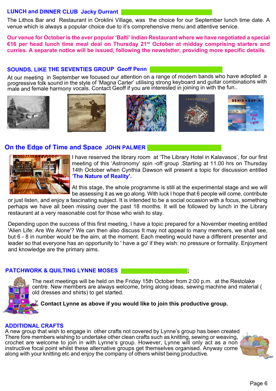# **LUNCH and DINNER CLUB Jacky Durrant**

The Lithos Bar and Restaurant in Oroklini Village, was the choice for our September lunch time date. A venue which is always a popular choice due to it's comprehensive menu and attentive service.

**Our venue for October is the ever popular 'Balti' Indian Restaurant where we have negotiated a special €16 per head lunch time meal deal on Thursday 21st October at midday comprising starters and curries. A separate notice will be issued, following the newsletter, providing more specific details.**

**SOUNDS, LIKE THE SEVENTIES GROUP Geoff Penn**  progressive folk sound in the style of 'Magna Carter' utilising strong keyboard and guitar combinations with<br>male and female harmony vocals. Contact Geoff if you are interested in joining in with the fun..











# **On the Edge of Time and Space JOHN PALMER**



I have reserved the library room at 'The Library Hotel in Kalavasos', for our first meeting of this 'Astronomy' spin -off group .Starting at 11.00 hrs on Thursday 14th October when Cynthia Dawson will present a topic for discussion entitled '**The Nature of Reality'.**

At this stage, the whole programme is still at the experimental stage and we will be assessing it as we go along. With luck I hope that 6 people will come, contribute

or just listen, and enjoy a fascinating subject. It is intended to be a social occasion with a focus, something perhaps we have all been missing over the past 18 months. It will be followed by lunch in the Library restaurant at a very reasonable cost for those who wish to stay.

Depending upon the success of this first meeting, I have a topic prepared for a November meeting entitled 'Alien Life: Are We Alone'? We can then also discuss It may not appeal to many members, we shall see, but 6 - 8 in number would be the aim, at the moment. Each meeting would have a different presenter and leader so that everyone has an opportunity to ' have a go' if they wish: no pressure or formality. Enjoyment and knowledge are the primary aims.

# **PATCHWORK & QUILTING LYNNE MOSES ;**

The next meetings will be held on the Friday 15th October from 2:00 p.m. at the Restolake centre. New members are always welcome, bring along ideas, sewing machine and material ( old dresses and shirts) to get started.

# **Contact Lynne as above if you would like to join this productive group.**

## **ADDITIONAL CRAFTS**

A new group that wish to engage in other crafts not covered by Lynne's group has been created There fore members wishing to undertake other clean crafts such as knitting, sewing or weaving, crochet are welcome to join in with Lynne's group. However, Lynne will only act as a non instructive focal point whilst these alternative groups get themselves organised. Anyway come along with your knitting etc and enjoy the company of others whilst being productive.

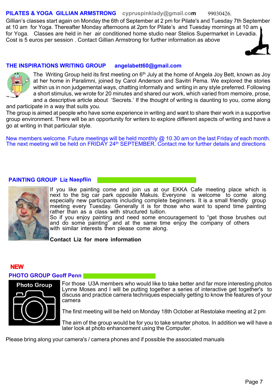#### **PILATES & YOGA GILLIAN ARMSTRONG [cypruspinklady@gmail.com](mailto:cypruspinklady@gmail.co)** 99030426.

Gillian's classes start again on Monday the 6th of September at 2 pm for Pilate's and Tuesday 7th September at 10 am for Yoga. Thereafter Monday afternoons at 2pm for Pilate's and Tuesday mornings at 10 am for Yoga. Classes are held in her air conditioned home studio near Stelios Supermarket in Levadia. Cost is 5 euros per session . Contact Gillian Armstrong for further information as above

# **THE INSPIRATIONS WRITING GROUP angelabett60@gmail.com**



The Writing Group held its first meeting on  $6<sup>th</sup>$  July at the home of Angela Joy Bett, known as Joy at her home in Paralimni, joined by Carol Anderson and Savitri Pema. We explored the stories within us in non judgemental ways, chatting informally and writing in any style preferred. Following a short stimulus, we wrote for 20 minutes and shared our work, which varied from memoire, prose, and a descriptive article about 'Secrets.' If the thought of writing is daunting to you, come along

and participate in a way that suits you.

The group is aimed at people who have some experience in writing and want to share their work in a supportive group environment. There will be an opportunity for writers to explore different aspects of writing and have a go at writing in that particular style.

New members welcome. Future meetings will be held monthly @ 10.30 am on the last Friday of each month. The next meeting will be held on FRIDAY 24<sup>th</sup> SEPTEMBER. Contact me for further details and directions

# **PAINTING GROUP Liz Naepflin**



If you like painting come and join us at our EKKA Cafe meeting place which is next to the big car park opposite Makuis. Everyone is welcome to come along especially new participants including complete beginners. It is a small friendly group meeting every Tuesday. Generally it is for those who want to spend time painting rather than as a class with structured tuition.

So if you enjoy painting and need some encouragement to "get those brushes out and do some painting" and at the same time enjoy the company of others with similar interests then please come along.

**Contact Liz for more information**

# **PHOTO GROUP Geoff Penn**  NEW

# **Photo Group**

For those U3A members who would like to take better and far more interesting photos Lynne Moses and I will be putting together a series of interactive get together's to discuss and practice camera techniques especially getting to know the features of your camera

The first meeting will be held on Monday 18th October at Restolake meeting at 2 pm

The aim of the group would be for you to take smarter photos. In addition we will have a later look at photo enhancement using the Computer.

Please bring along your camera's / camera phones and if possible the associated manuals